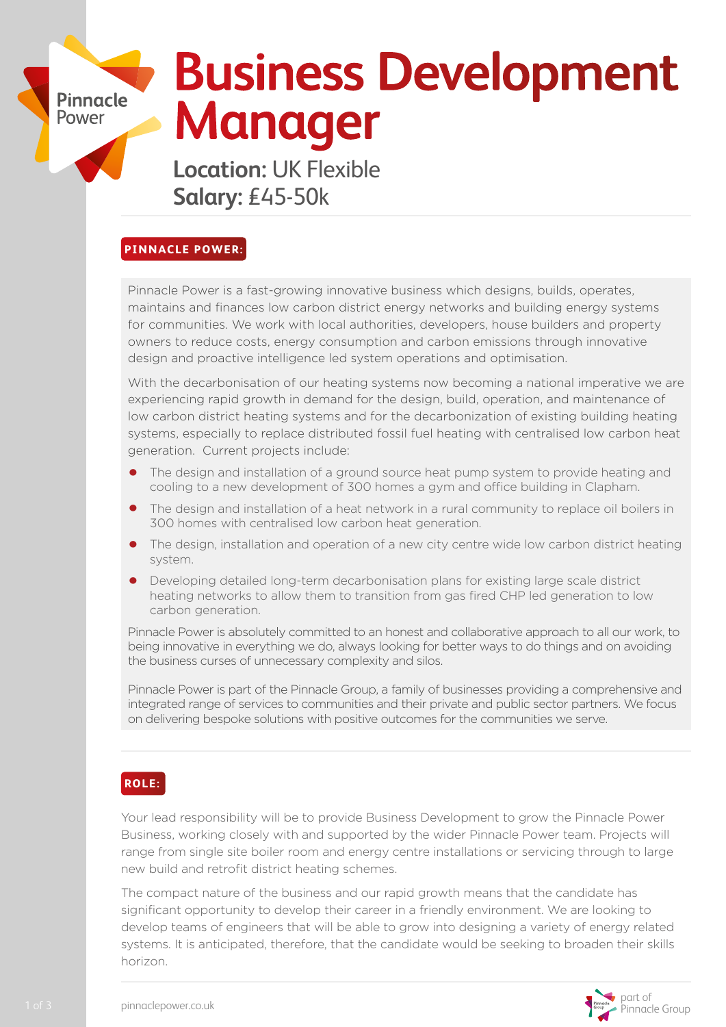# **Business Development Manager**

**Location:** UK Flexible **Salary:** £45-50k

### **PINNACLE POWER:**

**Pinnacle** Power

> Pinnacle Power is a fast-growing innovative business which designs, builds, operates, maintains and finances low carbon district energy networks and building energy systems for communities. We work with local authorities, developers, house builders and property owners to reduce costs, energy consumption and carbon emissions through innovative design and proactive intelligence led system operations and optimisation.

With the decarbonisation of our heating systems now becoming a national imperative we are experiencing rapid growth in demand for the design, build, operation, and maintenance of low carbon district heating systems and for the decarbonization of existing building heating systems, especially to replace distributed fossil fuel heating with centralised low carbon heat generation. Current projects include:

- **•** The design and installation of a ground source heat pump system to provide heating and cooling to a new development of 300 homes a gym and office building in Clapham.
- **•** The design and installation of a heat network in a rural community to replace oil boilers in 300 homes with centralised low carbon heat generation.
- **•** The design, installation and operation of a new city centre wide low carbon district heating system.
- Developing detailed long-term decarbonisation plans for existing large scale district heating networks to allow them to transition from gas fired CHP led generation to low carbon generation.

Pinnacle Power is absolutely committed to an honest and collaborative approach to all our work, to being innovative in everything we do, always looking for better ways to do things and on avoiding the business curses of unnecessary complexity and silos.

Pinnacle Power is part of the Pinnacle Group, a family of businesses providing a comprehensive and integrated range of services to communities and their private and public sector partners. We focus on delivering bespoke solutions with positive outcomes for the communities we serve.

## **ROLE:**

Your lead responsibility will be to provide Business Development to grow the Pinnacle Power Business, working closely with and supported by the wider Pinnacle Power team. Projects will range from single site boiler room and energy centre installations or servicing through to large new build and retrofit district heating schemes.

The compact nature of the business and our rapid growth means that the candidate has significant opportunity to develop their career in a friendly environment. We are looking to develop teams of engineers that will be able to grow into designing a variety of energy related systems. It is anticipated, therefore, that the candidate would be seeking to broaden their skills horizon.

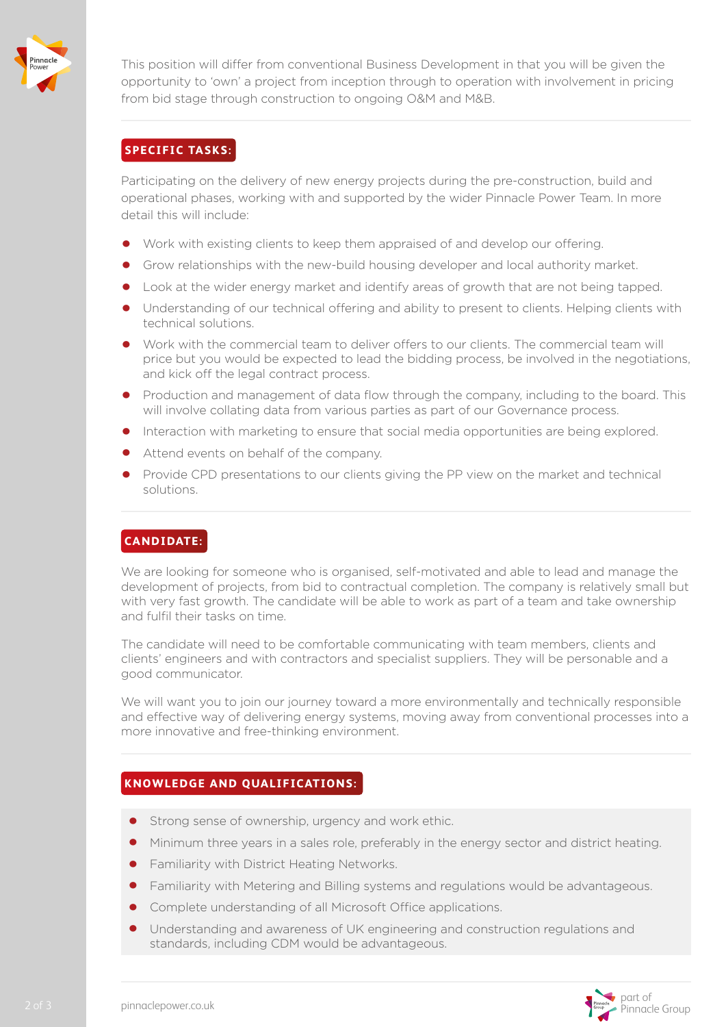

This position will differ from conventional Business Development in that you will be given the opportunity to 'own' a project from inception through to operation with involvement in pricing from bid stage through construction to ongoing O&M and M&B.

#### **SPECIFIC TASKS:**

Participating on the delivery of new energy projects during the pre-construction, build and operational phases, working with and supported by the wider Pinnacle Power Team. In more detail this will include:

- **•** Work with existing clients to keep them appraised of and develop our offering.
- **•** Grow relationships with the new-build housing developer and local authority market.
- **•** Look at the wider energy market and identify areas of growth that are not being tapped.
- **•** Understanding of our technical offering and ability to present to clients. Helping clients with technical solutions.
- **•** Work with the commercial team to deliver offers to our clients. The commercial team will price but you would be expected to lead the bidding process, be involved in the negotiations, and kick off the legal contract process.
- **•** Production and management of data flow through the company, including to the board. This will involve collating data from various parties as part of our Governance process.
- **•** Interaction with marketing to ensure that social media opportunities are being explored.
- **•** Attend events on behalf of the company.
- **•** Provide CPD presentations to our clients giving the PP view on the market and technical solutions.

#### **CANDIDATE:**

We are looking for someone who is organised, self-motivated and able to lead and manage the development of projects, from bid to contractual completion. The company is relatively small but with very fast growth. The candidate will be able to work as part of a team and take ownership and fulfil their tasks on time.

The candidate will need to be comfortable communicating with team members, clients and clients' engineers and with contractors and specialist suppliers. They will be personable and a good communicator.

We will want you to join our journey toward a more environmentally and technically responsible and effective way of delivering energy systems, moving away from conventional processes into a more innovative and free-thinking environment.

#### **KNOWLEDGE AND QUALIFICATIONS:**

- **•** Strong sense of ownership, urgency and work ethic.
- **•** Minimum three years in a sales role, preferably in the energy sector and district heating.
- **•** Familiarity with District Heating Networks.
- **•** Familiarity with Metering and Billing systems and regulations would be advantageous.
- **•** Complete understanding of all Microsoft Office applications.
- **•** Understanding and awareness of UK engineering and construction regulations and standards, including CDM would be advantageous.